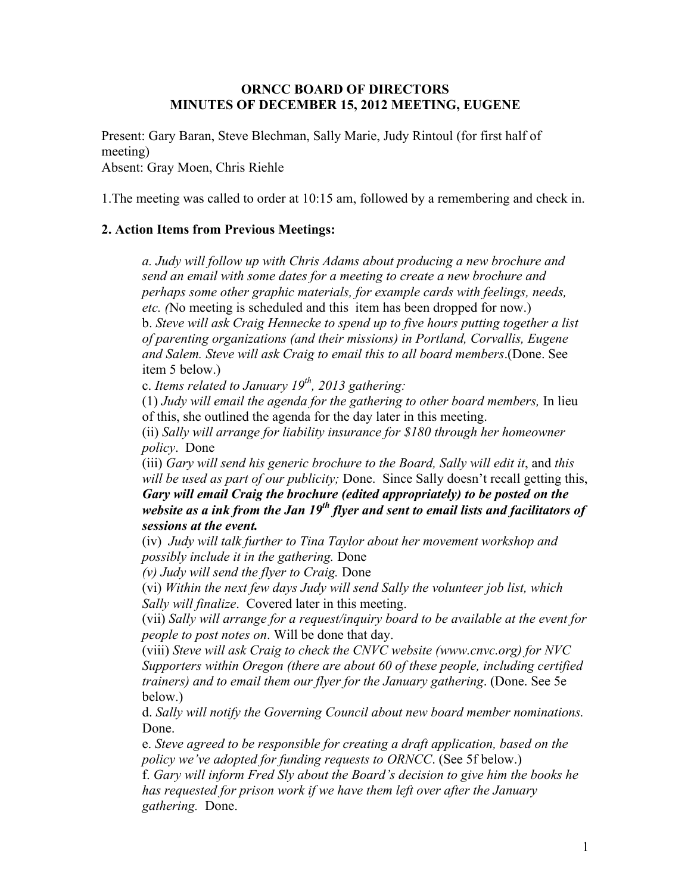### **ORNCC BOARD OF DIRECTORS MINUTES OF DECEMBER 15, 2012 MEETING, EUGENE**

Present: Gary Baran, Steve Blechman, Sally Marie, Judy Rintoul (for first half of meeting) Absent: Gray Moen, Chris Riehle

1.The meeting was called to order at 10:15 am, followed by a remembering and check in.

### **2. Action Items from Previous Meetings:**

*a. Judy will follow up with Chris Adams about producing a new brochure and send an email with some dates for a meeting to create a new brochure and perhaps some other graphic materials, for example cards with feelings, needs, etc. (*No meeting is scheduled and this item has been dropped for now.) b. *Steve will ask Craig Hennecke to spend up to five hours putting together a list of parenting organizations (and their missions) in Portland, Corvallis, Eugene and Salem. Steve will ask Craig to email this to all board members*.(Done. See item 5 below.)

c. *Items related to January 19th, 2013 gathering:*

(1) *Judy will email the agenda for the gathering to other board members,* In lieu of this, she outlined the agenda for the day later in this meeting.

(ii) *Sally will arrange for liability insurance for \$180 through her homeowner policy*. Done

(iii) *Gary will send his generic brochure to the Board, Sally will edit it*, and *this will be used as part of our publicity;* Done. Since Sally doesn't recall getting this, *Gary will email Craig the brochure (edited appropriately) to be posted on the website as a ink from the Jan 19th flyer and sent to email lists and facilitators of sessions at the event.*

(iv) *Judy will talk further to Tina Taylor about her movement workshop and possibly include it in the gathering.* Done

*(v) Judy will send the flyer to Craig.* Done

(vi) *Within the next few days Judy will send Sally the volunteer job list, which Sally will finalize*. Covered later in this meeting.

(vii) *Sally will arrange for a request/inquiry board to be available at the event for people to post notes on*. Will be done that day.

(viii) *Steve will ask Craig to check the CNVC website (www.cnvc.org) for NVC Supporters within Oregon (there are about 60 of these people, including certified trainers) and to email them our flyer for the January gathering*. (Done. See 5e below.)

d. *Sally will notify the Governing Council about new board member nominations.*  Done.

e. *Steve agreed to be responsible for creating a draft application, based on the policy we've adopted for funding requests to ORNCC*. (See 5f below.)

f. *Gary will inform Fred Sly about the Board's decision to give him the books he has requested for prison work if we have them left over after the January gathering.* Done.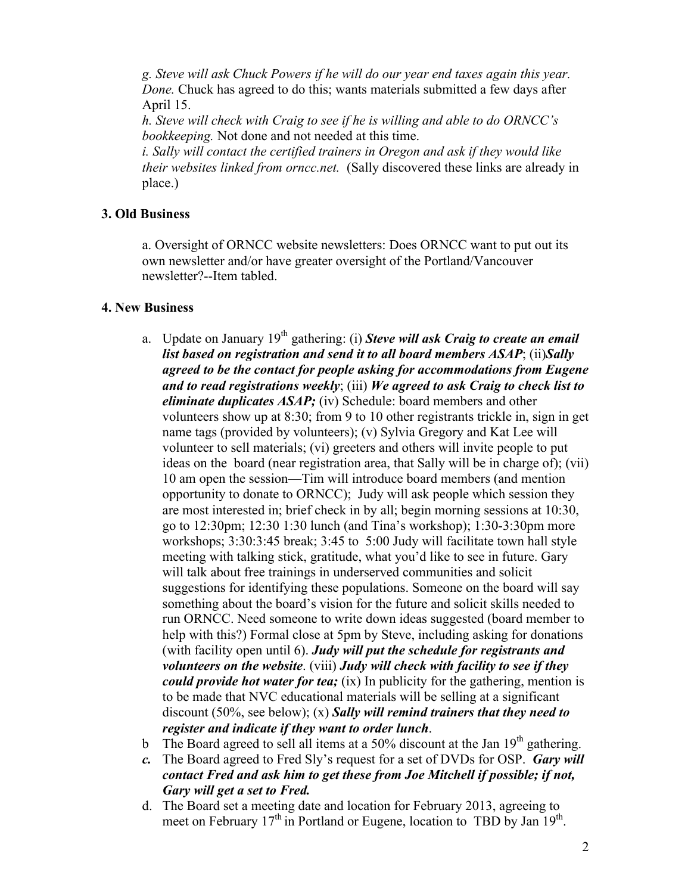*g. Steve will ask Chuck Powers if he will do our year end taxes again this year. Done.* Chuck has agreed to do this; wants materials submitted a few days after April 15.

*h. Steve will check with Craig to see if he is willing and able to do ORNCC's bookkeeping.* Not done and not needed at this time.

*i. Sally will contact the certified trainers in Oregon and ask if they would like their websites linked from orncc.net.* (Sally discovered these links are already in place.)

## **3. Old Business**

a. Oversight of ORNCC website newsletters: Does ORNCC want to put out its own newsletter and/or have greater oversight of the Portland/Vancouver newsletter?--Item tabled.

### **4. New Business**

- a. Update on January 19<sup>th</sup> gathering: (i) **Steve will ask Craig to create an email** *list based on registration and send it to all board members ASAP*; (ii)*Sally agreed to be the contact for people asking for accommodations from Eugene and to read registrations weekly*; (iii) *We agreed to ask Craig to check list to eliminate duplicates ASAP;* (iv) Schedule: board members and other volunteers show up at 8:30; from 9 to 10 other registrants trickle in, sign in get name tags (provided by volunteers); (v) Sylvia Gregory and Kat Lee will volunteer to sell materials; (vi) greeters and others will invite people to put ideas on the board (near registration area, that Sally will be in charge of); (vii) 10 am open the session—Tim will introduce board members (and mention opportunity to donate to ORNCC); Judy will ask people which session they are most interested in; brief check in by all; begin morning sessions at 10:30, go to 12:30pm; 12:30 1:30 lunch (and Tina's workshop); 1:30-3:30pm more workshops; 3:30:3:45 break; 3:45 to 5:00 Judy will facilitate town hall style meeting with talking stick, gratitude, what you'd like to see in future. Gary will talk about free trainings in underserved communities and solicit suggestions for identifying these populations. Someone on the board will say something about the board's vision for the future and solicit skills needed to run ORNCC. Need someone to write down ideas suggested (board member to help with this?) Formal close at 5pm by Steve, including asking for donations (with facility open until 6). *Judy will put the schedule for registrants and volunteers on the website*. (viii) *Judy will check with facility to see if they could provide hot water for tea;* (ix) In publicity for the gathering, mention is to be made that NVC educational materials will be selling at a significant discount (50%, see below); (x) *Sally will remind trainers that they need to register and indicate if they want to order lunch*.
- b The Board agreed to sell all items at a 50% discount at the Jan  $19<sup>th</sup>$  gathering.
- *c.* The Board agreed to Fred Sly's request for a set of DVDs for OSP. *Gary will contact Fred and ask him to get these from Joe Mitchell if possible; if not, Gary will get a set to Fred.*
- d. The Board set a meeting date and location for February 2013, agreeing to meet on February  $17<sup>th</sup>$  in Portland or Eugene, location to TBD by Jan  $19<sup>th</sup>$ .